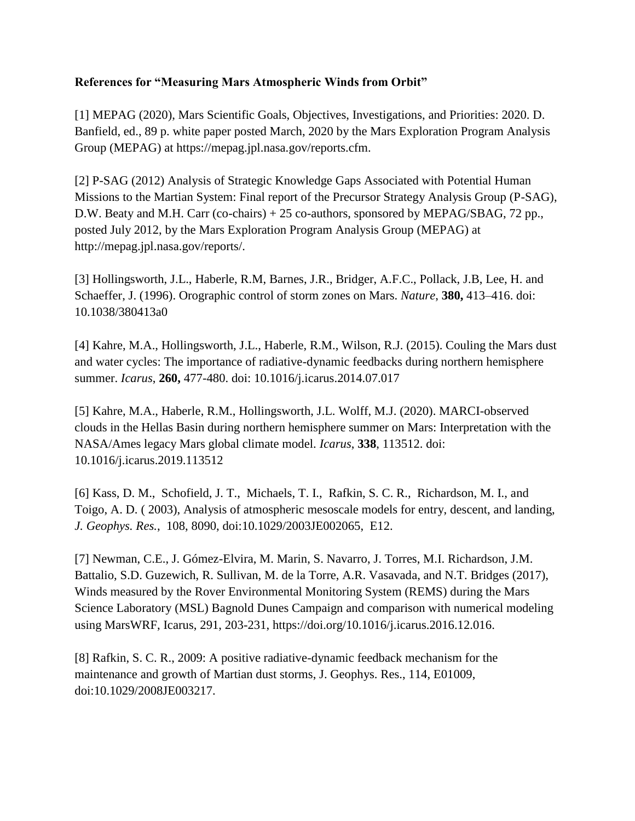## **References for "Measuring Mars Atmospheric Winds from Orbit"**

[1] MEPAG (2020), Mars Scientific Goals, Objectives, Investigations, and Priorities: 2020. D. Banfield, ed., 89 p. white paper posted March, 2020 by the Mars Exploration Program Analysis Group (MEPAG) at https://mepag.jpl.nasa.gov/reports.cfm.

[2] P-SAG (2012) Analysis of Strategic Knowledge Gaps Associated with Potential Human Missions to the Martian System: Final report of the Precursor Strategy Analysis Group (P-SAG), D.W. Beaty and M.H. Carr (co-chairs) + 25 co-authors, sponsored by MEPAG/SBAG, 72 pp., posted July 2012, by the Mars Exploration Program Analysis Group (MEPAG) at http://mepag.jpl.nasa.gov/reports/.

[3] Hollingsworth, J.L., Haberle, R.M, Barnes, J.R., Bridger, A.F.C., Pollack, J.B, Lee, H. and Schaeffer, J. (1996). Orographic control of storm zones on Mars. *Nature*, **380,** 413–416. doi: [10.1038/380413a0](https://ui.adsabs.harvard.edu/link_gateway/1996Natur.380..413H/doi:10.1038/380413a0)

[4] Kahre, M.A., Hollingsworth, J.L., Haberle, R.M., Wilson, R.J. (2015). Couling the Mars dust and water cycles: The importance of radiative-dynamic feedbacks during northern hemisphere summer. *Icarus*, **260,** 477-480. doi: [10.1016/j.icarus.2014.07.017](https://ui.adsabs.harvard.edu/link_gateway/2015Icar..260..477K/doi:10.1016/j.icarus.2014.07.017)

[5] Kahre, M.A., Haberle, R.M., Hollingsworth, J.L. Wolff, M.J. (2020). MARCI-observed clouds in the Hellas Basin during northern hemisphere summer on Mars: Interpretation with the NASA/Ames legacy Mars global climate model. *Icarus*, **338**, 113512. doi: [10.1016/j.icarus.2019.113512](https://ui.adsabs.harvard.edu/link_gateway/2020Icar..33813512K/doi:10.1016/j.icarus.2019.113512)

[6] Kass, D. M., Schofield, J. T., Michaels, T. I., Rafkin, S. C. R., Richardson, M. I., and Toigo, A. D. ( 2003), Analysis of atmospheric mesoscale models for entry, descent, and landing, *J. Geophys. Res.*, 108, 8090, doi[:10.1029/2003JE002065,](https://doi.org/10.1029/2003JE002065) E12.

[7] Newman, C.E., J. Gómez-Elvira, M. Marin, S. Navarro, J. Torres, M.I. Richardson, J.M. Battalio, S.D. Guzewich, R. Sullivan, M. de la Torre, A.R. Vasavada, and N.T. Bridges (2017), Winds measured by the Rover Environmental Monitoring System (REMS) during the Mars Science Laboratory (MSL) Bagnold Dunes Campaign and comparison with numerical modeling using MarsWRF, Icarus, 291, 203-231, [https://doi.org/10.1016/j.icarus.2016.12.016.](https://doi.org/10.1016/j.icarus.2016.12.016)

[8] [Rafkin, S. C. R., 2009: A positive radiative-dynamic feedback mechanism for the](http://www.boulder.swri.edu/~rafkin/rafkin_JGR_2009.pdf)  [maintenance and growth of Martian dust storms, J. Geophys. Res., 114, E01009,](http://www.boulder.swri.edu/~rafkin/rafkin_JGR_2009.pdf)  [doi:10.1029/2008JE003217.](http://www.boulder.swri.edu/~rafkin/rafkin_JGR_2009.pdf)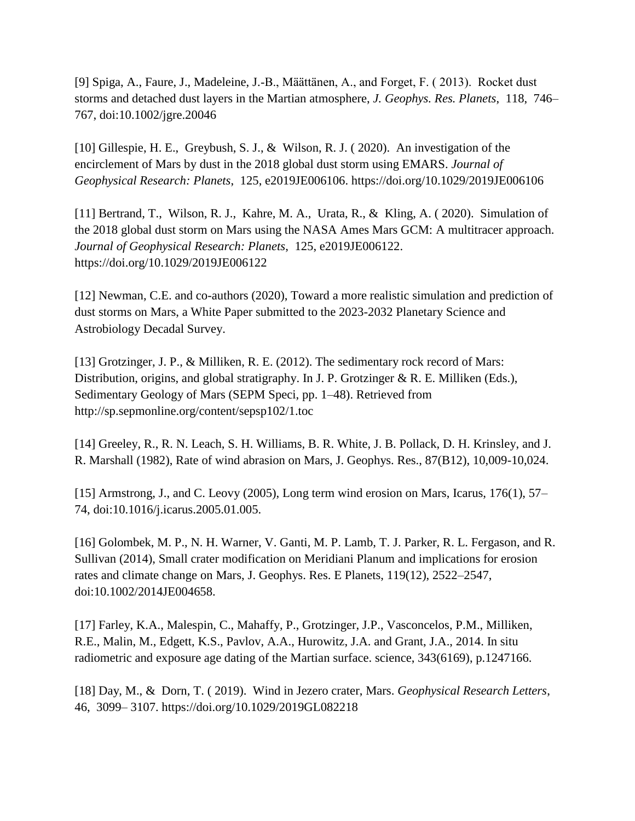[9] Spiga, A., Faure, J., Madeleine, J.‐B., Määttänen, A., and Forget, F. ( 2013). Rocket dust storms and detached dust layers in the Martian atmosphere, *J. Geophys. Res. Planets*, 118, 746– 767, doi[:10.1002/jgre.20046](https://doi.org/10.1002/jgre.20046)

[10] Gillespie, H. E., Greybush, S. J., & Wilson, R. J. ( 2020). An investigation of the encirclement of Mars by dust in the 2018 global dust storm using EMARS. *Journal of Geophysical Research: Planets*, 125, e2019JE006106.<https://doi.org/10.1029/2019JE006106>

[11] Bertrand, T., Wilson, R. J., Kahre, M. A., Urata, R., & Kling, A. (2020). Simulation of the 2018 global dust storm on Mars using the NASA Ames Mars GCM: A multitracer approach. *Journal of Geophysical Research: Planets*, 125, e2019JE006122. <https://doi.org/10.1029/2019JE006122>

[12] Newman, C.E. and co-authors (2020), Toward a more realistic simulation and prediction of dust storms on Mars, a White Paper submitted to the 2023-2032 Planetary Science and Astrobiology Decadal Survey.

[13] Grotzinger, J. P., & Milliken, R. E. (2012). The sedimentary rock record of Mars: Distribution, origins, and global stratigraphy. In J. P. Grotzinger & R. E. Milliken (Eds.), Sedimentary Geology of Mars (SEPM Speci, pp. 1–48). Retrieved from <http://sp.sepmonline.org/content/sepsp102/1.toc>

[14] Greeley, R., R. N. Leach, S. H. Williams, B. R. White, J. B. Pollack, D. H. Krinsley, and J. R. Marshall (1982), Rate of wind abrasion on Mars, J. Geophys. Res., 87(B12), 10,009-10,024.

[15] Armstrong, J., and C. Leovy (2005), Long term wind erosion on Mars, Icarus, 176(1), 57– 74, doi:10.1016/j.icarus.2005.01.005.

[16] Golombek, M. P., N. H. Warner, V. Ganti, M. P. Lamb, T. J. Parker, R. L. Fergason, and R. Sullivan (2014), Small crater modification on Meridiani Planum and implications for erosion rates and climate change on Mars, J. Geophys. Res. E Planets, 119(12), 2522–2547, doi:10.1002/2014JE004658.

[17] Farley, K.A., Malespin, C., Mahaffy, P., Grotzinger, J.P., Vasconcelos, P.M., Milliken, R.E., Malin, M., Edgett, K.S., Pavlov, A.A., Hurowitz, J.A. and Grant, J.A., 2014. In situ radiometric and exposure age dating of the Martian surface. science, 343(6169), p.1247166.

[18] Day, M., & Dorn, T. ( 2019). Wind in Jezero crater, Mars. *Geophysical Research Letters*, 46, 3099– 3107.<https://doi.org/10.1029/2019GL082218>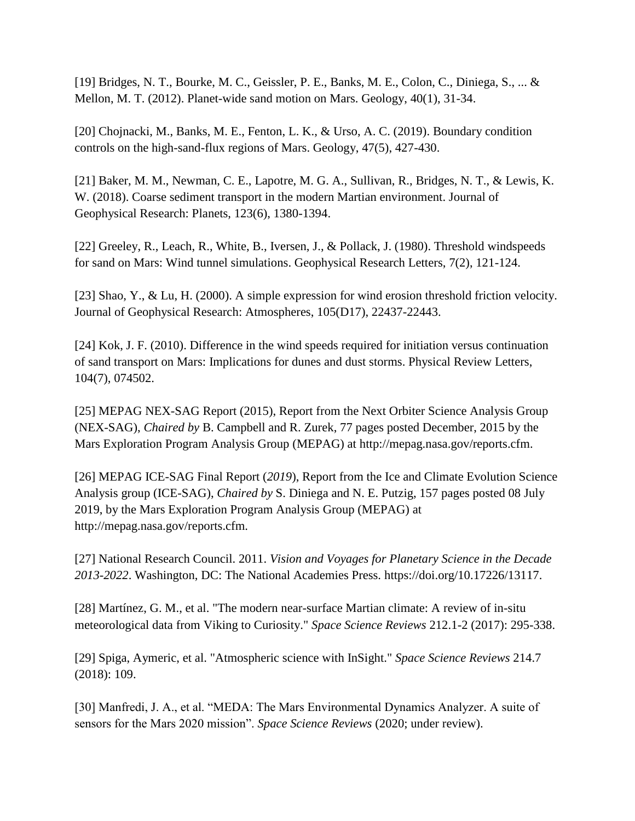[19] Bridges, N. T., Bourke, M. C., Geissler, P. E., Banks, M. E., Colon, C., Diniega, S., ... & Mellon, M. T. (2012). Planet-wide sand motion on Mars. Geology, 40(1), 31-34.

[20] Chojnacki, M., Banks, M. E., Fenton, L. K., & Urso, A. C. (2019). Boundary condition controls on the high-sand-flux regions of Mars. Geology, 47(5), 427-430.

[21] Baker, M. M., Newman, C. E., Lapotre, M. G. A., Sullivan, R., Bridges, N. T., & Lewis, K. W. (2018). Coarse sediment transport in the modern Martian environment. Journal of Geophysical Research: Planets, 123(6), 1380-1394.

[22] Greeley, R., Leach, R., White, B., Iversen, J., & Pollack, J. (1980). Threshold windspeeds for sand on Mars: Wind tunnel simulations. Geophysical Research Letters, 7(2), 121-124.

[23] Shao, Y., & Lu, H. (2000). A simple expression for wind erosion threshold friction velocity. Journal of Geophysical Research: Atmospheres, 105(D17), 22437-22443.

[24] Kok, J. F. (2010). Difference in the wind speeds required for initiation versus continuation of sand transport on Mars: Implications for dunes and dust storms. Physical Review Letters, 104(7), 074502.

[25] MEPAG NEX-SAG Report (2015), Report from the Next Orbiter Science Analysis Group (NEX-SAG), *Chaired by* B. Campbell and R. Zurek, 77 pages posted December, 2015 by the Mars Exploration Program Analysis Group (MEPAG) at [http://mepag.nasa.gov/reports.cfm.](http://mepag.nasa.gov/reports.cfm)

[26] MEPAG ICE-SAG Final Report (*2019*), Report from the Ice and Climate Evolution Science Analysis group (ICE-SAG), *Chaired by* S. Diniega and N. E. Putzig, 157 pages posted 08 July 2019, by the Mars Exploration Program Analysis Group (MEPAG) at http://mepag.nasa.gov/reports.cfm.

[27] National Research Council. 2011. *Vision and Voyages for Planetary Science in the Decade 2013-2022*. Washington, DC: The National Academies Press. [https://doi.org/10.17226/13117.](https://doi.org/10.17226/13117)

[28] Martínez, G. M., et al. "The modern near-surface Martian climate: A review of in-situ meteorological data from Viking to Curiosity." *Space Science Reviews* 212.1-2 (2017): 295-338.

[29] Spiga, Aymeric, et al. "Atmospheric science with InSight." *Space Science Reviews* 214.7 (2018): 109.

[30] Manfredi, J. A., et al. "MEDA: The Mars Environmental Dynamics Analyzer. A suite of sensors for the Mars 2020 mission". *Space Science Reviews* (2020; under review).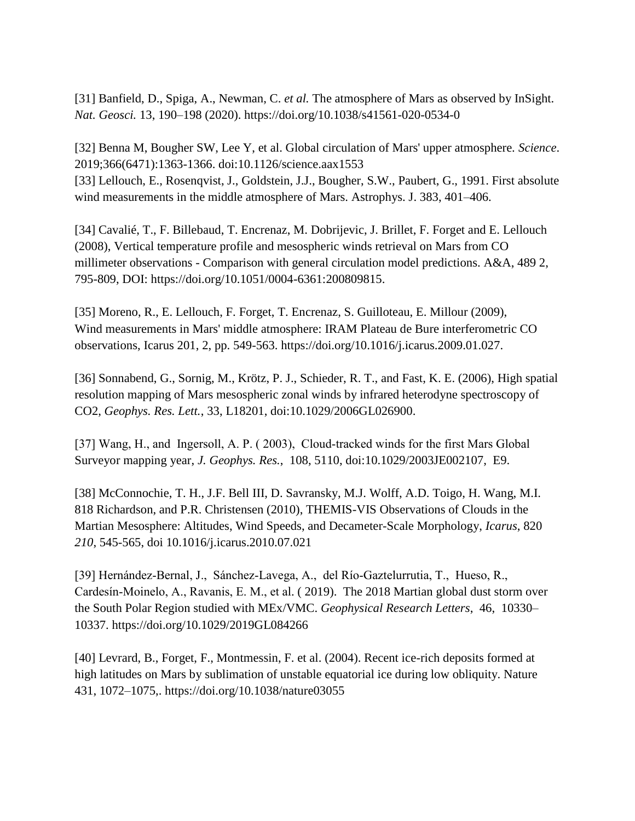[31] Banfield, D., Spiga, A., Newman, C. *et al.* The atmosphere of Mars as observed by InSight. *Nat. Geosci.* 13, 190–198 (2020).<https://doi.org/10.1038/s41561-020-0534-0>

[32] Benna M, Bougher SW, Lee Y, et al. Global circulation of Mars' upper atmosphere. *Science*. 2019;366(6471):1363-1366. doi:10.1126/science.aax1553 [33] Lellouch, E., Rosenqvist, J., Goldstein, J.J., Bougher, S.W., Paubert, G., 1991. First absolute wind measurements in the middle atmosphere of Mars. Astrophys. J. 383, 401–406.

[34] Cavalié, T., F. Billebaud, T. Encrenaz, M. Dobrijevic, J. Brillet, F. Forget and E. Lellouch (2008), Vertical temperature profile and mesospheric winds retrieval on Mars from CO millimeter observations - Comparison with general circulation model predictions. A&A, 489 2, 795-809, DOI: [https://doi.org/10.1051/0004-6361:200809815.](https://doi.org/10.1051/0004-6361:200809815)

[35] Moreno, R., E. Lellouch, F. Forget, T. Encrenaz, S. Guilloteau, E. Millour (2009), Wind measurements in Mars' middle atmosphere: IRAM Plateau de Bure interferometric CO observations, Icarus 201, 2, pp. 549-563. [https://doi.org/10.1016/j.icarus.2009.01.027.](https://doi.org/10.1016/j.icarus.2009.01.027)

[36] Sonnabend, G., Sornig, M., Krötz, P. J., Schieder, R. T., and Fast, K. E. (2006), High spatial resolution mapping of Mars mesospheric zonal winds by infrared heterodyne spectroscopy of CO2, *Geophys. Res. Lett.*, 33, L18201, doi[:10.1029/2006GL026900.](https://doi.org/10.1029/2006GL026900)

[37] Wang, H., and Ingersoll, A. P. (2003), Cloud-tracked winds for the first Mars Global Surveyor mapping year, *J. Geophys. Res.*, 108, 5110, doi[:10.1029/2003JE002107,](https://doi.org/10.1029/2003JE002107) E9.

[38] McConnochie, T. H., J.F. Bell III, D. Savransky, M.J. Wolff, A.D. Toigo, H. Wang, M.I. 818 Richardson, and P.R. Christensen (2010), THEMIS-VIS Observations of Clouds in the Martian Mesosphere: Altitudes, Wind Speeds, and Decameter-Scale Morphology, *Icarus*, 820 *210*, 545-565, doi 10.1016/j.icarus.2010.07.021

[39] Hernández‐Bernal, J., Sánchez‐Lavega, A., del Río‐Gaztelurrutia, T., Hueso, R., Cardesín‐Moinelo, A., Ravanis, E. M., et al. ( 2019). The 2018 Martian global dust storm over the South Polar Region studied with MEx/VMC. *Geophysical Research Letters*, 46, 10330– 10337.<https://doi.org/10.1029/2019GL084266>

[40] Levrard, B., Forget, F., Montmessin, F. et al. (2004). Recent ice-rich deposits formed at high latitudes on Mars by sublimation of unstable equatorial ice during low obliquity. Nature 431, 1072–1075,.<https://doi.org/10.1038/nature03055>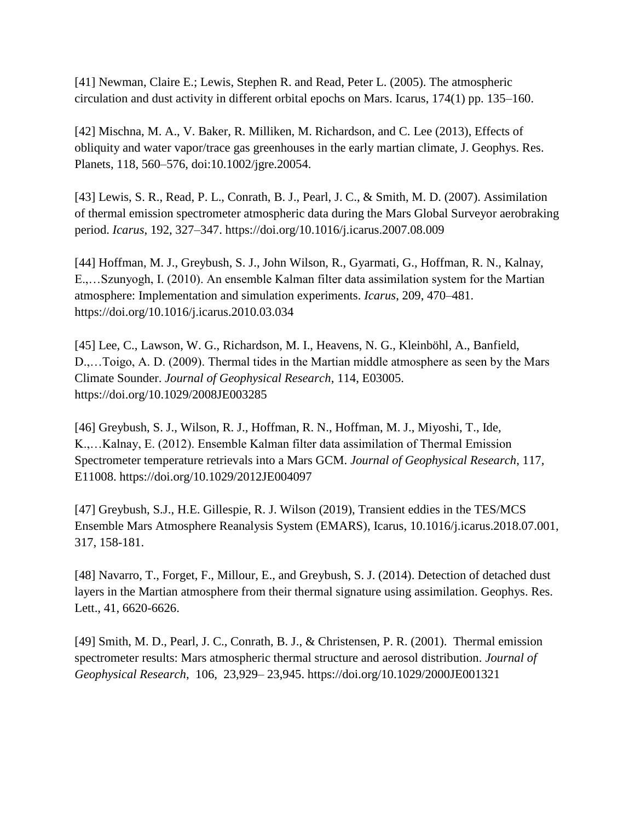[41] Newman, Claire E.; Lewis, Stephen R. and Read, Peter L. (2005). The atmospheric circulation and dust activity in different orbital epochs on Mars. Icarus, 174(1) pp. 135–160.

[42] Mischna, M. A., V. Baker, R. Milliken, M. Richardson, and C. Lee (2013), Effects of obliquity and water vapor/trace gas greenhouses in the early martian climate, J. Geophys. Res. Planets, 118, 560–576, doi:10.1002/jgre.20054.

[43] Lewis, S. R., Read, P. L., Conrath, B. J., Pearl, J. C., & Smith, M. D. (2007). Assimilation of thermal emission spectrometer atmospheric data during the Mars Global Surveyor aerobraking period. *Icarus*, 192, 327–347.<https://doi.org/10.1016/j.icarus.2007.08.009>

[44] Hoffman, M. J., Greybush, S. J., John Wilson, R., Gyarmati, G., Hoffman, R. N., Kalnay, E.,…Szunyogh, I. (2010). An ensemble Kalman filter data assimilation system for the Martian atmosphere: Implementation and simulation experiments. *Icarus*, 209, 470–481. <https://doi.org/10.1016/j.icarus.2010.03.034>

[45] Lee, C., Lawson, W. G., Richardson, M. I., Heavens, N. G., Kleinböhl, A., Banfield, D.,…Toigo, A. D. (2009). Thermal tides in the Martian middle atmosphere as seen by the Mars Climate Sounder. *Journal of Geophysical Research*, 114, E03005. <https://doi.org/10.1029/2008JE003285>

[46] Greybush, S. J., Wilson, R. J., Hoffman, R. N., Hoffman, M. J., Miyoshi, T., Ide, K.,…Kalnay, E. (2012). Ensemble Kalman filter data assimilation of Thermal Emission Spectrometer temperature retrievals into a Mars GCM. *Journal of Geophysical Research*, 117, E11008.<https://doi.org/10.1029/2012JE004097>

[47] Greybush, S.J., H.E. Gillespie, R. J. Wilson (2019), Transient eddies in the TES/MCS Ensemble Mars Atmosphere Reanalysis System (EMARS), Icarus, 10.1016/j.icarus.2018.07.001, 317, 158-181.

[48] Navarro, T., Forget, F., Millour, E., and Greybush, S. J. (2014). Detection of detached dust layers in the Martian atmosphere from their thermal signature using assimilation. Geophys. Res. Lett., 41, 6620-6626.

[49] Smith, M. D., Pearl, J. C., Conrath, B. J., & Christensen, P. R. (2001). Thermal emission spectrometer results: Mars atmospheric thermal structure and aerosol distribution. *Journal of Geophysical Research*, 106, 23,929– 23,945.<https://doi.org/10.1029/2000JE001321>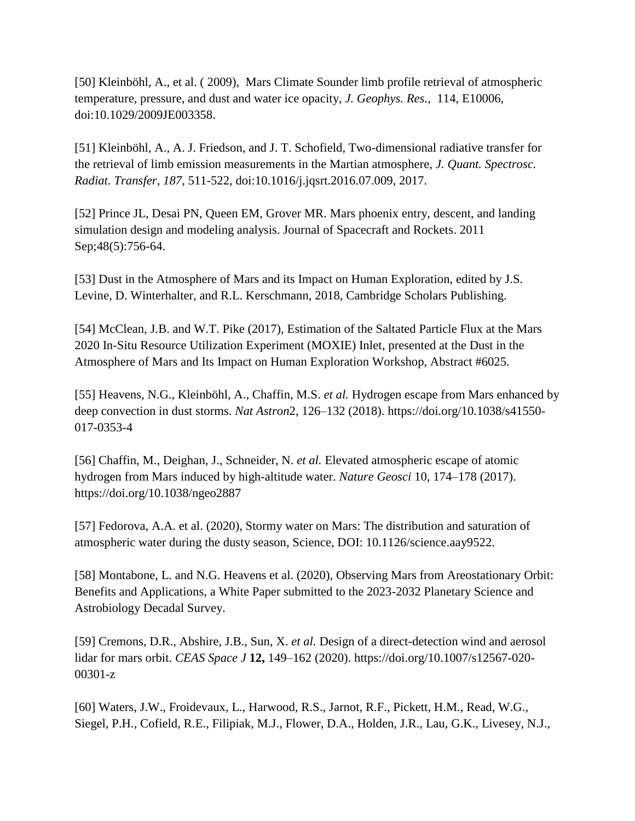[50] Kleinböhl, A., et al. ( 2009), Mars Climate Sounder limb profile retrieval of atmospheric temperature, pressure, and dust and water ice opacity, *J. Geophys. Res.*, 114, E10006, doi[:10.1029/2009JE003358.](https://doi.org/10.1029/2009JE003358)

[51] Kleinböhl, A., A. J. Friedson, and J. T. Schofield, Two-dimensional radiative transfer for the retrieval of limb emission measurements in the Martian atmosphere, *J. Quant. Spectrosc. Radiat. Transfer, 187*, 511-522, doi:10.1016/j.jqsrt.2016.07.009, 2017.

[52] Prince JL, Desai PN, Queen EM, Grover MR. Mars phoenix entry, descent, and landing simulation design and modeling analysis. Journal of Spacecraft and Rockets. 2011 Sep;48(5):756-64.

[53] Dust in the Atmosphere of Mars and its Impact on Human Exploration, edited by J.S. Levine, D. Winterhalter, and R.L. Kerschmann, 2018, Cambridge Scholars Publishing.

[54] McClean, J.B. and W.T. Pike (2017), [Estimation of the Saltated Particle Flux at the Mars](https://ui.adsabs.harvard.edu/abs/2017LPICo1966.6025M/abstract)  [2020 In-Situ Resource Utilization Experiment \(MOXIE\) Inlet,](https://ui.adsabs.harvard.edu/abs/2017LPICo1966.6025M/abstract) presented at the Dust in the Atmosphere of Mars and Its Impact on Human Exploration Workshop, Abstract #6025.

[55] Heavens, N.G., Kleinböhl, A., Chaffin, M.S. *et al.* Hydrogen escape from Mars enhanced by deep convection in dust storms. *Nat Astron*2, 126–132 (2018). [https://doi.org/10.1038/s41550-](https://doi.org/10.1038/s41550-017-0353-4) [017-0353-4](https://doi.org/10.1038/s41550-017-0353-4)

[56] Chaffin, M., Deighan, J., Schneider, N. *et al.* Elevated atmospheric escape of atomic hydrogen from Mars induced by high-altitude water. *Nature Geosci* 10, 174–178 (2017). <https://doi.org/10.1038/ngeo2887>

[57] Fedorova, A.A. et al. (2020), Stormy water on Mars: The distribution and saturation of atmospheric water during the dusty season, Science, DOI: 10.1126/science.aay9522.

[58] Montabone, L. and N.G. Heavens et al. (2020), Observing Mars from Areostationary Orbit: Benefits and Applications, a White Paper submitted to the 2023-2032 Planetary Science and Astrobiology Decadal Survey.

[59] Cremons, D.R., Abshire, J.B., Sun, X. *et al.* Design of a direct-detection wind and aerosol lidar for mars orbit. *CEAS Space J* **12,** 149–162 (2020). [https://doi.org/10.1007/s12567-020-](https://doi.org/10.1007/s12567-020-00301-z) [00301-z](https://doi.org/10.1007/s12567-020-00301-z)

[60] Waters, J.W., Froidevaux, L., Harwood, R.S., Jarnot, R.F., Pickett, H.M., Read, W.G., Siegel, P.H., Cofield, R.E., Filipiak, M.J., Flower, D.A., Holden, J.R., Lau, G.K., Livesey, N.J.,